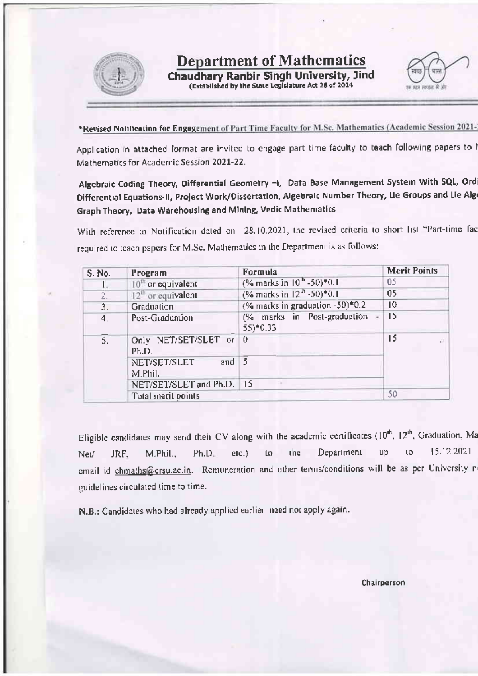

## **Department of Mathematics**

Chaudhary Ranbir Singh University, Jind<br>(Established by the State Legislature Act 28 of 2014



\*Revised Notification for Engagement of Part Time Faculty for M.Sc. Mathematics (Academic Session 2021-

Application in attached format are invited to engage part time faculty to teach following papers to I Mathematics for Academic Session 2021-22.

Algebraic Coding Theory, Differential Geometry -i, Data Base Management System With SQL, Ord Differential Equations-II, Project Work/Dissertation, Algebraic Number Theory, Lie Groups and Lie Alg Graph Theory, Data Warehousing and Mining, Vedic Mathematics

With reference to Notification dated on 28.10.2021, the revised criteria to short list "Part-time fac required to teach papers for M.Sc. Mathematics in the Department is as follows:

| S. No. | Program                        | Formula                                   | <b>Merit Points</b> |  |
|--------|--------------------------------|-------------------------------------------|---------------------|--|
|        | $10th$ or equivalent           | (% marks in 10 <sup>th</sup> -50)*0.1     | 05                  |  |
| 2.     | $12th$ or equivalent           | (% marks in $12^{th}$ -50)*0.1            | 05                  |  |
| 3.     | Graduation                     | (% marks in graduation -50)*0.2           | 10                  |  |
| 4.     | Post-Graduation                | (% marks in Post-graduation -<br>55)*0.33 | 15                  |  |
| 5.     | Only NET/SET/SLET or<br>Ph.D.  | $\Omega$                                  | 15                  |  |
|        | and<br>NET/SET/SLET<br>M.Phil. | -5                                        |                     |  |
|        | NET/SET/SLET and Ph.D.   15    |                                           |                     |  |
|        | Total merit points             |                                           | 50                  |  |

Eligible candidates may send their CV along with the academic certificates  $(10^{th}, 12^{th},$  Graduation, Ma Department 15.12.2021 to the up JRF. M.Phil.,  $Ph.D.$ etc.) Net/  $\mathfrak{c}$ email id chmaths@crsu.ac.in. Remuneration and other terms/conditions will be as per University n guidelines circulated time to time.

N.B.: Candidates who had already applied earlier need not apply again.

Chairperson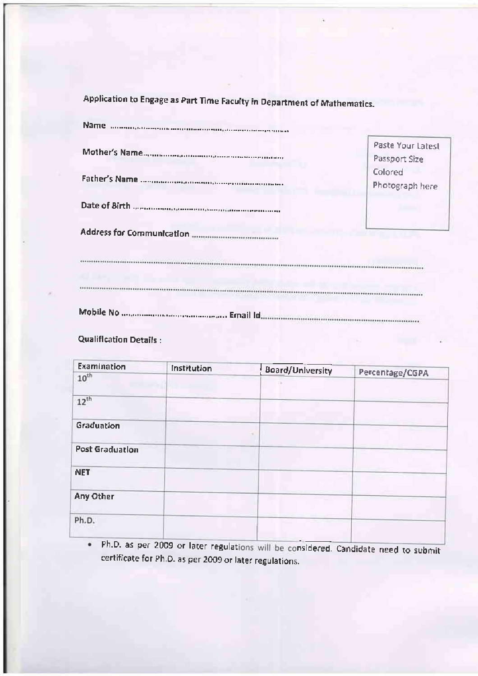Application to Engage as Part Time Faculty in Department of Mathematics.

| Name announction continuous component components |                                    |
|--------------------------------------------------|------------------------------------|
|                                                  | Paste Your Latest<br>Passport Size |
|                                                  | Colored<br>Photograph here         |
|                                                  |                                    |
|                                                  |                                    |
|                                                  |                                    |
|                                                  |                                    |
|                                                  |                                    |

**Qualification Details:** 

| Examination     | <b>Institution</b> | Board/University | Percentage/CGPA |  |
|-----------------|--------------------|------------------|-----------------|--|
| $10^{th}$       |                    |                  |                 |  |
| $12^{th}$       |                    |                  |                 |  |
| Graduation      |                    |                  |                 |  |
| Post Graduation |                    |                  |                 |  |
| <b>NET</b>      |                    |                  |                 |  |
| Any Other       |                    |                  |                 |  |
| Ph.D.           |                    |                  |                 |  |
|                 |                    |                  |                 |  |

Ph.D. as per 2009 or later regulations will be considered. Candidate need to submit  $\bullet$ certificate for Ph.D. as per 2009 or later regulations.